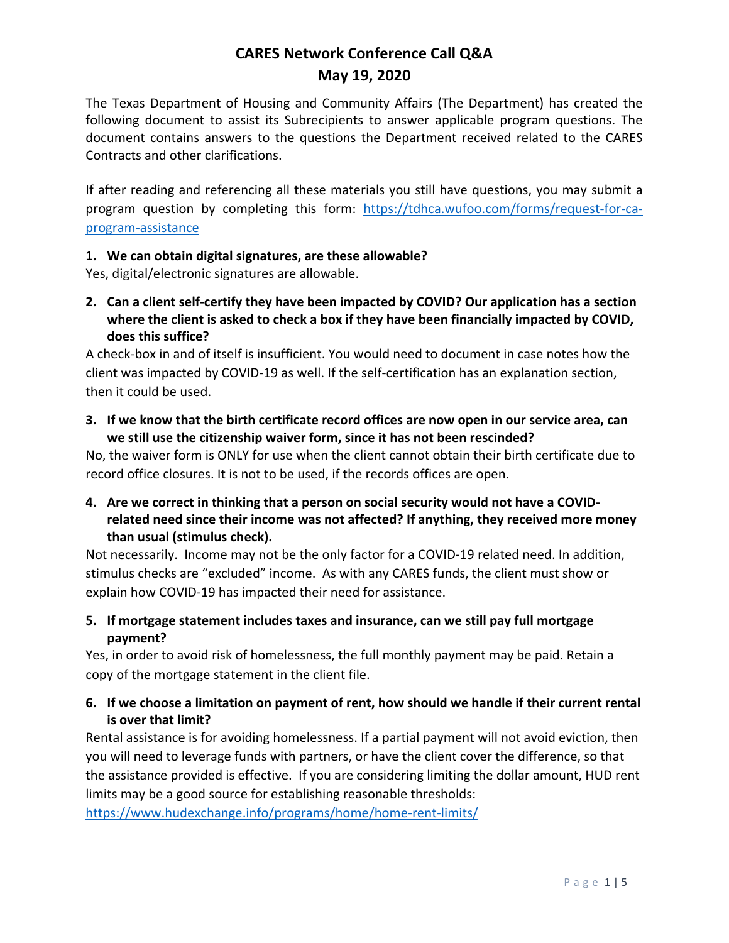The Texas Department of Housing and Community Affairs (The Department) has created the following document to assist its Subrecipients to answer applicable program questions. The document contains answers to the questions the Department received related to the CARES Contracts and other clarifications.

If after reading and referencing all these materials you still have questions, you may submit a program question by completing this form: [https://tdhca.wufoo.com/forms/request-for-ca](https://tdhca.wufoo.com/forms/request-for-ca-program-assistance)[program-assistance](https://tdhca.wufoo.com/forms/request-for-ca-program-assistance)

#### **1. We can obtain digital signatures, are these allowable?**

Yes, digital/electronic signatures are allowable.

**2. Can a client self-certify they have been impacted by COVID? Our application has a section where the client is asked to check a box if they have been financially impacted by COVID, does this suffice?**

A check-box in and of itself is insufficient. You would need to document in case notes how the client was impacted by COVID-19 as well. If the self-certification has an explanation section, then it could be used.

**3. If we know that the birth certificate record offices are now open in our service area, can we still use the citizenship waiver form, since it has not been rescinded?**

No, the waiver form is ONLY for use when the client cannot obtain their birth certificate due to record office closures. It is not to be used, if the records offices are open.

**4. Are we correct in thinking that a person on social security would not have a COVIDrelated need since their income was not affected? If anything, they received more money than usual (stimulus check).**

Not necessarily. Income may not be the only factor for a COVID-19 related need. In addition, stimulus checks are "excluded" income. As with any CARES funds, the client must show or explain how COVID-19 has impacted their need for assistance.

**5. If mortgage statement includes taxes and insurance, can we still pay full mortgage payment?**

Yes, in order to avoid risk of homelessness, the full monthly payment may be paid. Retain a copy of the mortgage statement in the client file.

### **6. If we choose a limitation on payment of rent, how should we handle if their current rental is over that limit?**

Rental assistance is for avoiding homelessness. If a partial payment will not avoid eviction, then you will need to leverage funds with partners, or have the client cover the difference, so that the assistance provided is effective. If you are considering limiting the dollar amount, HUD rent limits may be a good source for establishing reasonable thresholds:

<https://www.hudexchange.info/programs/home/home-rent-limits/>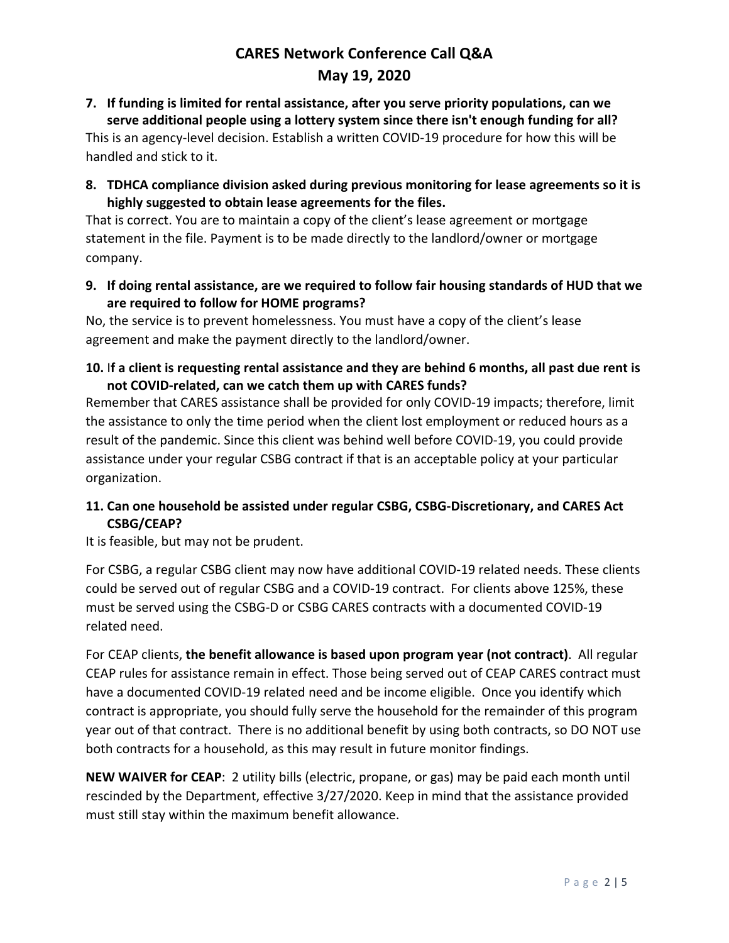#### **7. If funding is limited for rental assistance, after you serve priority populations, can we serve additional people using a lottery system since there isn't enough funding for all?**

This is an agency-level decision. Establish a written COVID-19 procedure for how this will be handled and stick to it.

**8. TDHCA compliance division asked during previous monitoring for lease agreements so it is highly suggested to obtain lease agreements for the files.**

That is correct. You are to maintain a copy of the client's lease agreement or mortgage statement in the file. Payment is to be made directly to the landlord/owner or mortgage company.

**9. If doing rental assistance, are we required to follow fair housing standards of HUD that we are required to follow for HOME programs?**

No, the service is to prevent homelessness. You must have a copy of the client's lease agreement and make the payment directly to the landlord/owner.

**10.** I**f a client is requesting rental assistance and they are behind 6 months, all past due rent is not COVID-related, can we catch them up with CARES funds?**

Remember that CARES assistance shall be provided for only COVID-19 impacts; therefore, limit the assistance to only the time period when the client lost employment or reduced hours as a result of the pandemic. Since this client was behind well before COVID-19, you could provide assistance under your regular CSBG contract if that is an acceptable policy at your particular organization.

# **11. Can one household be assisted under regular CSBG, CSBG-Discretionary, and CARES Act CSBG/CEAP?**

It is feasible, but may not be prudent.

For CSBG, a regular CSBG client may now have additional COVID-19 related needs. These clients could be served out of regular CSBG and a COVID-19 contract. For clients above 125%, these must be served using the CSBG-D or CSBG CARES contracts with a documented COVID-19 related need.

For CEAP clients, **the benefit allowance is based upon program year (not contract)**. All regular CEAP rules for assistance remain in effect. Those being served out of CEAP CARES contract must have a documented COVID-19 related need and be income eligible. Once you identify which contract is appropriate, you should fully serve the household for the remainder of this program year out of that contract. There is no additional benefit by using both contracts, so DO NOT use both contracts for a household, as this may result in future monitor findings.

**NEW WAIVER for CEAP**: 2 utility bills (electric, propane, or gas) may be paid each month until rescinded by the Department, effective 3/27/2020. Keep in mind that the assistance provided must still stay within the maximum benefit allowance.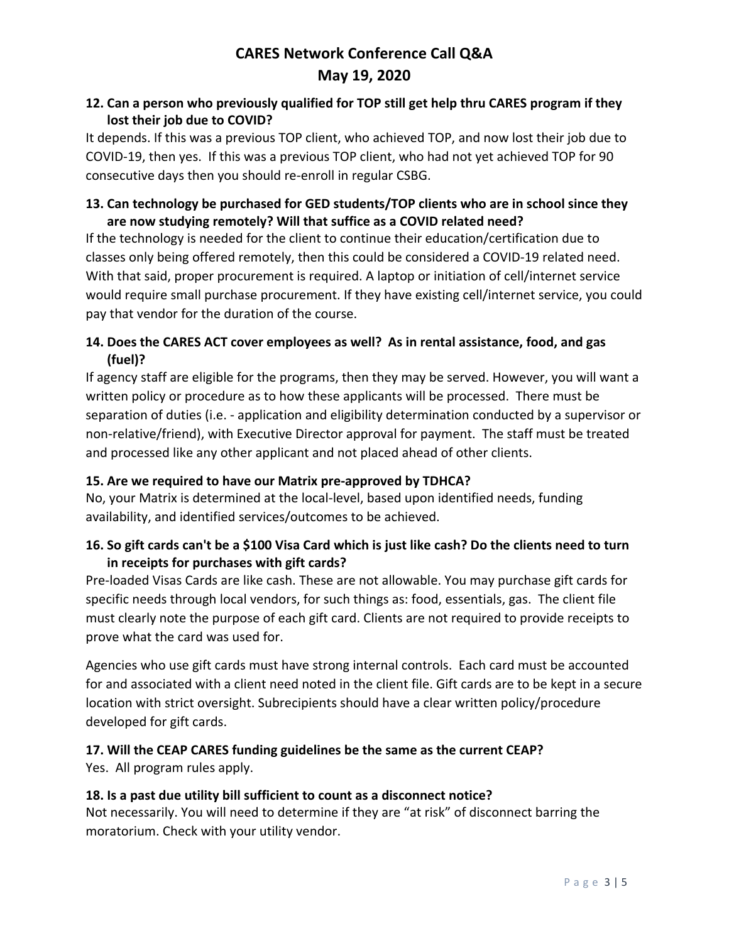## **12. Can a person who previously qualified for TOP still get help thru CARES program if they lost their job due to COVID?**

It depends. If this was a previous TOP client, who achieved TOP, and now lost their job due to COVID-19, then yes. If this was a previous TOP client, who had not yet achieved TOP for 90 consecutive days then you should re-enroll in regular CSBG.

## **13. Can technology be purchased for GED students/TOP clients who are in school since they are now studying remotely? Will that suffice as a COVID related need?**

If the technology is needed for the client to continue their education/certification due to classes only being offered remotely, then this could be considered a COVID-19 related need. With that said, proper procurement is required. A laptop or initiation of cell/internet service would require small purchase procurement. If they have existing cell/internet service, you could pay that vendor for the duration of the course.

## **14. Does the CARES ACT cover employees as well? As in rental assistance, food, and gas (fuel)?**

If agency staff are eligible for the programs, then they may be served. However, you will want a written policy or procedure as to how these applicants will be processed. There must be separation of duties (i.e. - application and eligibility determination conducted by a supervisor or non-relative/friend), with Executive Director approval for payment. The staff must be treated and processed like any other applicant and not placed ahead of other clients.

# **15. Are we required to have our Matrix pre-approved by TDHCA?**

No, your Matrix is determined at the local-level, based upon identified needs, funding availability, and identified services/outcomes to be achieved.

## **16. So gift cards can't be a \$100 Visa Card which is just like cash? Do the clients need to turn in receipts for purchases with gift cards?**

Pre-loaded Visas Cards are like cash. These are not allowable. You may purchase gift cards for specific needs through local vendors, for such things as: food, essentials, gas. The client file must clearly note the purpose of each gift card. Clients are not required to provide receipts to prove what the card was used for.

Agencies who use gift cards must have strong internal controls. Each card must be accounted for and associated with a client need noted in the client file. Gift cards are to be kept in a secure location with strict oversight. Subrecipients should have a clear written policy/procedure developed for gift cards.

### **17. Will the CEAP CARES funding guidelines be the same as the current CEAP?**

Yes. All program rules apply.

### **18. Is a past due utility bill sufficient to count as a disconnect notice?**

Not necessarily. You will need to determine if they are "at risk" of disconnect barring the moratorium. Check with your utility vendor.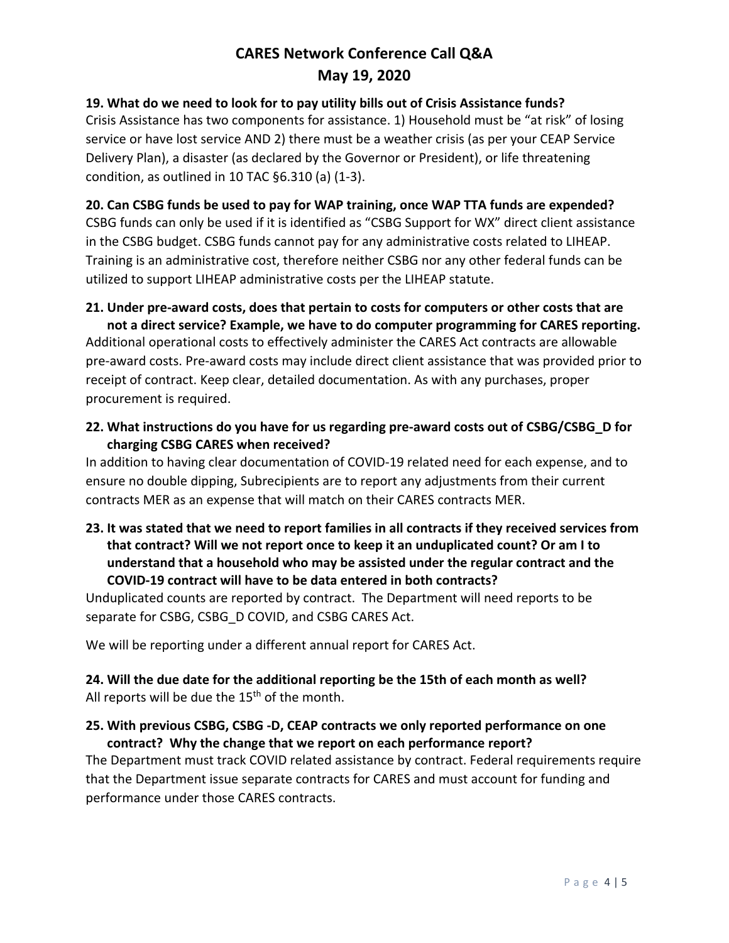#### **19. What do we need to look for to pay utility bills out of Crisis Assistance funds?**

Crisis Assistance has two components for assistance. 1) Household must be "at risk" of losing service or have lost service AND 2) there must be a weather crisis (as per your CEAP Service Delivery Plan), a disaster (as declared by the Governor or President), or life threatening condition, as outlined in 10 TAC §6.310 (a) (1-3).

#### **20. Can CSBG funds be used to pay for WAP training, once WAP TTA funds are expended?**

CSBG funds can only be used if it is identified as "CSBG Support for WX" direct client assistance in the CSBG budget. CSBG funds cannot pay for any administrative costs related to LIHEAP. Training is an administrative cost, therefore neither CSBG nor any other federal funds can be utilized to support LIHEAP administrative costs per the LIHEAP statute.

### **21. Under pre-award costs, does that pertain to costs for computers or other costs that are**

**not a direct service? Example, we have to do computer programming for CARES reporting.** Additional operational costs to effectively administer the CARES Act contracts are allowable pre-award costs. Pre-award costs may include direct client assistance that was provided prior to receipt of contract. Keep clear, detailed documentation. As with any purchases, proper procurement is required.

**22. What instructions do you have for us regarding pre-award costs out of CSBG/CSBG\_D for charging CSBG CARES when received?** 

In addition to having clear documentation of COVID-19 related need for each expense, and to ensure no double dipping, Subrecipients are to report any adjustments from their current contracts MER as an expense that will match on their CARES contracts MER.

**23. It was stated that we need to report families in all contracts if they received services from that contract? Will we not report once to keep it an unduplicated count? Or am I to understand that a household who may be assisted under the regular contract and the COVID-19 contract will have to be data entered in both contracts?** 

Unduplicated counts are reported by contract. The Department will need reports to be separate for CSBG, CSBG\_D COVID, and CSBG CARES Act.

We will be reporting under a different annual report for CARES Act.

**24. Will the due date for the additional reporting be the 15th of each month as well?** All reports will be due the 15<sup>th</sup> of the month.

#### **25. With previous CSBG, CSBG -D, CEAP contracts we only reported performance on one contract? Why the change that we report on each performance report?**

The Department must track COVID related assistance by contract. Federal requirements require that the Department issue separate contracts for CARES and must account for funding and performance under those CARES contracts.